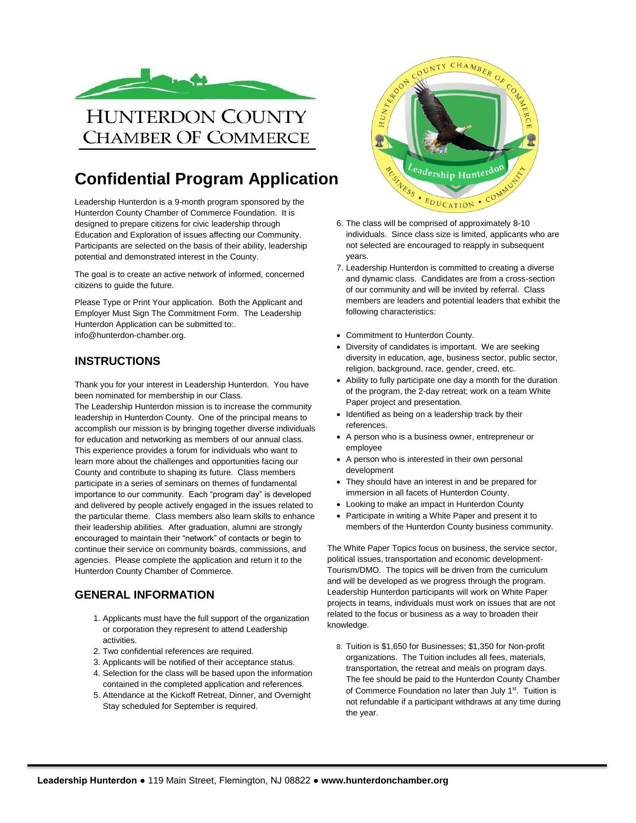

## **Confidential Program Application**

Leadership Hunterdon is a 9-month program sponsored by the Hunterdon County Chamber of Commerce Foundation. It is designed to prepare citizens for civic leadership through Education and Exploration of issues affecting our Community. Participants are selected on the basis of their ability, leadership potential and demonstrated interest in the County.

The goal is to create an active network of informed, concerned citizens to guide the future.

Please Type or Print Your application. Both the Applicant and Employer Must Sign The Commitment Form. The Leadership Hunterdon Application can be submitted to:. info@hunterdon-chamber.org.

#### **INSTRUCTIONS**

Thank you for your interest in Leadership Hunterdon. You have been nominated for membership in our Class.

The Leadership Hunterdon mission is to increase the community leadership in Hunterdon County. One of the principal means to accomplish our mission is by bringing together diverse individuals for education and networking as members of our annual class. This experience provides a forum for individuals who want to learn more about the challenges and opportunities facing our County and contribute to shaping its future. Class members participate in a series of seminars on themes of fundamental importance to our community. Each "program day" is developed and delivered by people actively engaged in the issues related to the particular theme. Class members also learn skills to enhance their leadership abilities. After graduation, alumni are strongly encouraged to maintain their "network" of contacts or begin to continue their service on community boards, commissions, and agencies. Please complete the application and return it to the Hunterdon County Chamber of Commerce.

#### **GENERAL INFORMATION**

- 1. Applicants must have the full support of the organization or corporation they represent to attend Leadership activities.
- 2. Two confidential references are required.
- 3. Applicants will be notified of their acceptance status.
- 4. Selection for the class will be based upon the information contained in the completed application and references.
- 5. Attendance at the Kickoff Retreat, Dinner, and Overnight Stay scheduled for September is required.



- individuals. Since class size is limited, applicants who are not selected are encouraged to reapply in subsequent years.
- 7. Leadership Hunterdon is committed to creating a diverse and dynamic class. Candidates are from a cross-section of our community and will be invited by referral. Class members are leaders and potential leaders that exhibit the following characteristics:
- Commitment to Hunterdon County.
- Diversity of candidates is important. We are seeking diversity in education, age, business sector, public sector, religion, background, race, gender, creed, etc.
- Ability to fully participate one day a month for the duration of the program, the 2-day retreat; work on a team White Paper project and presentation.
- Identified as being on a leadership track by their references.
- A person who is a business owner, entrepreneur or employee
- A person who is interested in their own personal development
- They should have an interest in and be prepared for immersion in all facets of Hunterdon County.
- Looking to make an impact in Hunterdon County
- Participate in writing a White Paper and present it to members of the Hunterdon County business community.

The White Paper Topics focus on business, the service sector, political issues, transportation and economic development-Tourism/DMO. The topics will be driven from the curriculum and will be developed as we progress through the program. Leadership Hunterdon participants will work on White Paper projects in teams, individuals must work on issues that are not related to the focus or business as a way to broaden their knowledge.

8. Tuition is \$1,650 for Businesses; \$1,350 for Non-profit organizations. The Tuition includes all fees, materials, transportation, the retreat and meals on program days. The fee should be paid to the Hunterdon County Chamber of Commerce Foundation no later than July 1<sup>st</sup>. Tuition is not refundable if a participant withdraws at any time during the year.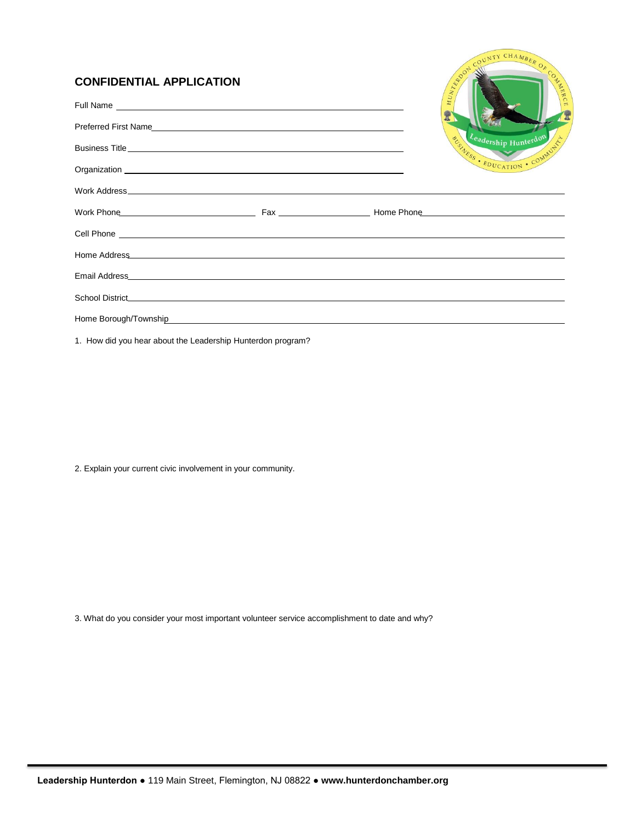### **CONFIDENTIAL APPLICATION**

| <b>CONFIDENTIAL APPLICATION</b>                                                                                                                                                                                                      | COUNTY CHAMBER OF COLLEGE<br>HUNTENOON |                                                     |
|--------------------------------------------------------------------------------------------------------------------------------------------------------------------------------------------------------------------------------------|----------------------------------------|-----------------------------------------------------|
|                                                                                                                                                                                                                                      |                                        |                                                     |
|                                                                                                                                                                                                                                      |                                        |                                                     |
|                                                                                                                                                                                                                                      |                                        | Leadership Hunterdon<br>BUSINESS . EDUCATION . COMM |
| Organization experience and the contract of the contract of the contract of the contract of the contract of the contract of the contract of the contract of the contract of the contract of the contract of the contract of th       |                                        |                                                     |
|                                                                                                                                                                                                                                      |                                        |                                                     |
|                                                                                                                                                                                                                                      |                                        |                                                     |
| Cell Phone <b>contract the contract of the contract of the contract of the contract of the contract of the contract of the contract of the contract of the contract of the contract of the contract of the contract of the contr</b> |                                        |                                                     |
| Home Address <b>Contract Contract Contract Contract Contract Contract Contract Contract Contract Contract Contract Contract Contract Contract Contract Contract Contract Contract Contract Contract Contract Contract Contract C</b> |                                        |                                                     |
|                                                                                                                                                                                                                                      |                                        |                                                     |
|                                                                                                                                                                                                                                      |                                        |                                                     |
|                                                                                                                                                                                                                                      |                                        |                                                     |

1. How did you hear about the Leadership Hunterdon program?

2. Explain your current civic involvement in your community.

3. What do you consider your most important volunteer service accomplishment to date and why?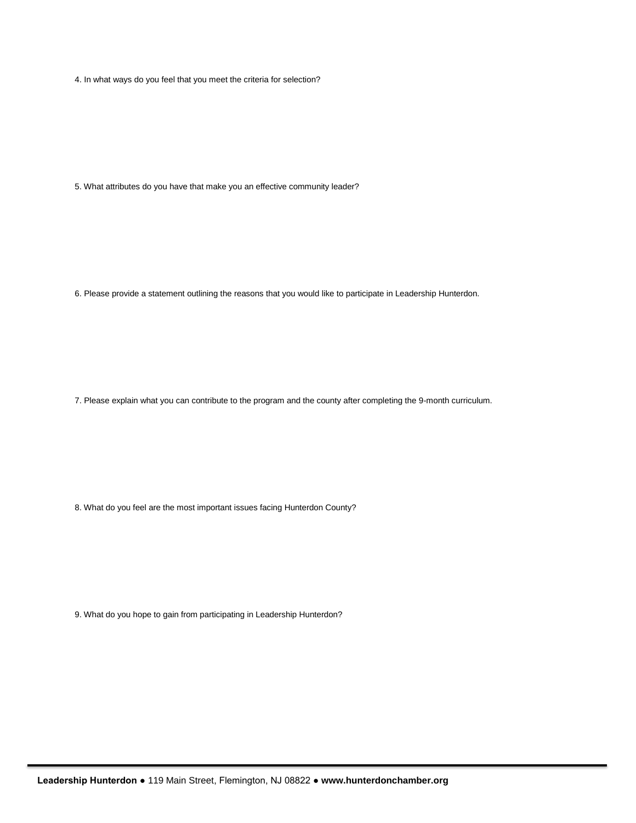4. In what ways do you feel that you meet the criteria for selection?

5. What attributes do you have that make you an effective community leader?

6. Please provide a statement outlining the reasons that you would like to participate in Leadership Hunterdon.

7. Please explain what you can contribute to the program and the county after completing the 9-month curriculum.

8. What do you feel are the most important issues facing Hunterdon County?

9. What do you hope to gain from participating in Leadership Hunterdon?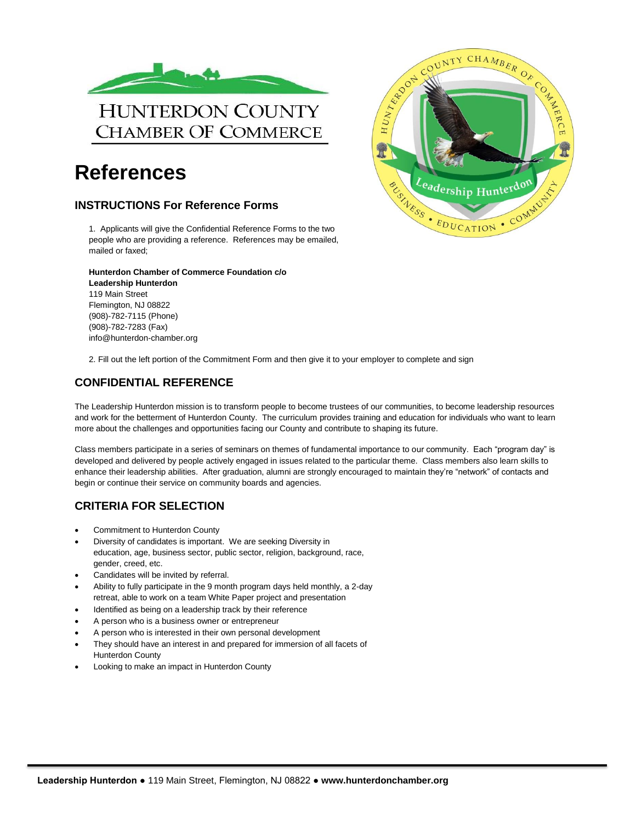

# **References**

#### **INSTRUCTIONS For Reference Forms**

1. Applicants will give the Confidential Reference Forms to the two people who are providing a reference. References may be emailed, mailed or faxed;

**Hunterdon Chamber of Commerce Foundation c/o Leadership Hunterdon** 119 Main Street Flemington, NJ 08822 (908)-782-7115 (Phone) (908)-782-7283 (Fax) info@hunterdon-chamber.org



2. Fill out the left portion of the Commitment Form and then give it to your employer to complete and sign

#### **CONFIDENTIAL REFERENCE**

The Leadership Hunterdon mission is to transform people to become trustees of our communities, to become leadership resources and work for the betterment of Hunterdon County. The curriculum provides training and education for individuals who want to learn more about the challenges and opportunities facing our County and contribute to shaping its future.

Class members participate in a series of seminars on themes of fundamental importance to our community. Each "program day" is developed and delivered by people actively engaged in issues related to the particular theme. Class members also learn skills to enhance their leadership abilities. After graduation, alumni are strongly encouraged to maintain they're "network" of contacts and begin or continue their service on community boards and agencies.

### **CRITERIA FOR SELECTION**

- Commitment to Hunterdon County
- Diversity of candidates is important. We are seeking Diversity in education, age, business sector, public sector, religion, background, race, gender, creed, etc.
- Candidates will be invited by referral.
- Ability to fully participate in the 9 month program days held monthly, a 2-day retreat, able to work on a team White Paper project and presentation
- Identified as being on a leadership track by their reference
- A person who is a business owner or entrepreneur
- A person who is interested in their own personal development
- They should have an interest in and prepared for immersion of all facets of Hunterdon County
- Looking to make an impact in Hunterdon County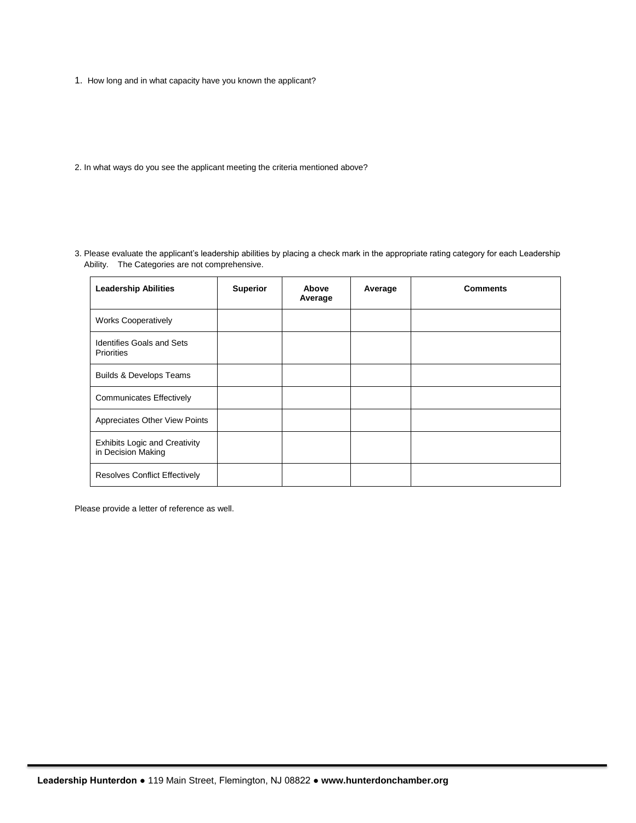- 1. How long and in what capacity have you known the applicant?
- 2. In what ways do you see the applicant meeting the criteria mentioned above?
- 3. Please evaluate the applicant's leadership abilities by placing a check mark in the appropriate rating category for each Leadership Ability. The Categories are not comprehensive.

| <b>Leadership Abilities</b>                                | <b>Superior</b> | Above<br>Average | Average | <b>Comments</b> |
|------------------------------------------------------------|-----------------|------------------|---------|-----------------|
| <b>Works Cooperatively</b>                                 |                 |                  |         |                 |
| <b>Identifies Goals and Sets</b><br><b>Priorities</b>      |                 |                  |         |                 |
| <b>Builds &amp; Develops Teams</b>                         |                 |                  |         |                 |
| <b>Communicates Effectively</b>                            |                 |                  |         |                 |
| Appreciates Other View Points                              |                 |                  |         |                 |
| <b>Exhibits Logic and Creativity</b><br>in Decision Making |                 |                  |         |                 |
| <b>Resolves Conflict Effectively</b>                       |                 |                  |         |                 |

Please provide a letter of reference as well.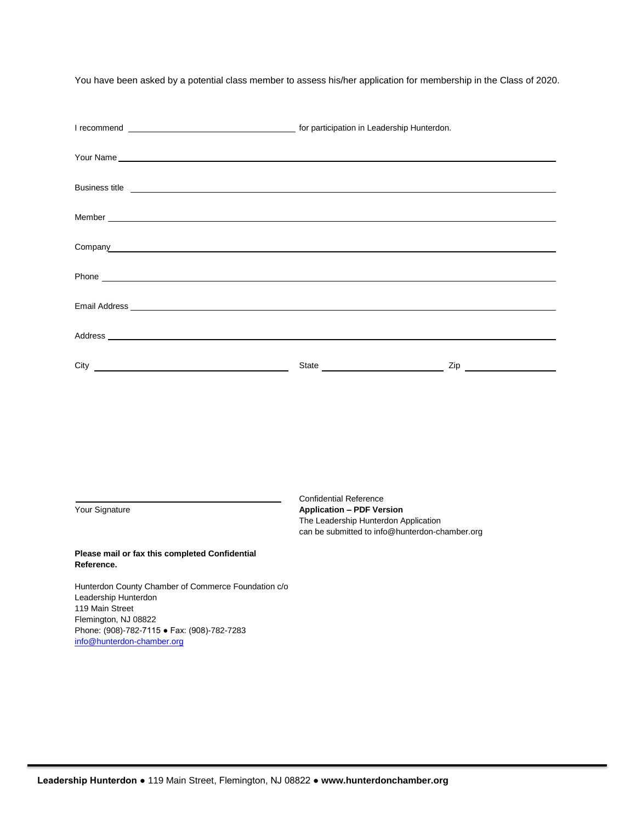You have been asked by a potential class member to assess his/her application for membership in the Class of 2020.

| Business title <b>contract the contract of the contract of the contract of the contract of the contract of the contract of the contract of the contract of the contract of the contract of the contract of the contract of the c</b> |  |  |  |  |
|--------------------------------------------------------------------------------------------------------------------------------------------------------------------------------------------------------------------------------------|--|--|--|--|
|                                                                                                                                                                                                                                      |  |  |  |  |
|                                                                                                                                                                                                                                      |  |  |  |  |
| Company experience of the company of the company of the company of the company of the company of the company of the company of the company of the company of the company of the company of the company of the company of the c       |  |  |  |  |
|                                                                                                                                                                                                                                      |  |  |  |  |
|                                                                                                                                                                                                                                      |  |  |  |  |
|                                                                                                                                                                                                                                      |  |  |  |  |
|                                                                                                                                                                                                                                      |  |  |  |  |
|                                                                                                                                                                                                                                      |  |  |  |  |
|                                                                                                                                                                                                                                      |  |  |  |  |

Confidential Reference Your Signature **Application – PDF Version** The Leadership Hunterdon Application can be submitted to info@hunterdon-chamber.org

#### **Please mail or fax this completed Confidential Reference.**

Hunterdon County Chamber of Commerce Foundation c/o Leadership Hunterdon 119 Main Street Flemington, NJ 08822 Phone: (908)-782-7115 ● Fax: (908)-782-7283 [info@hunterdon-chamber.org](mailto:info@hunterdon-chamber.org)